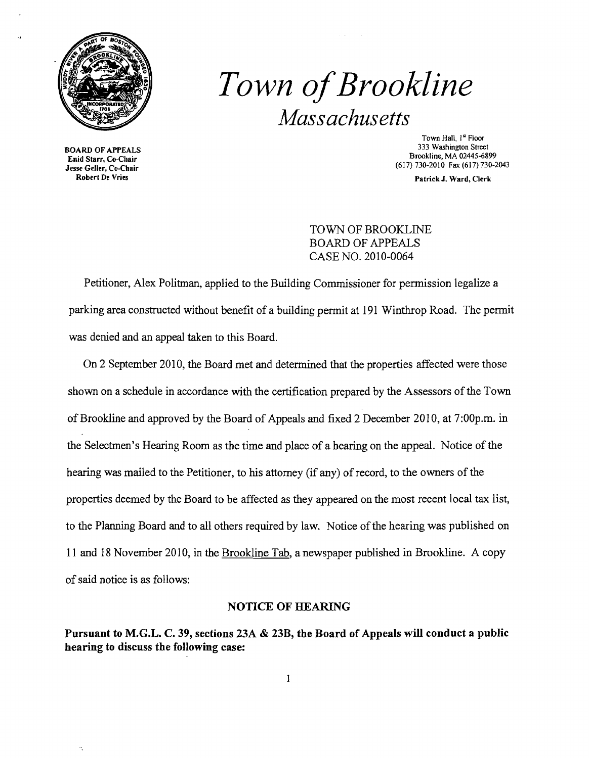

**333 BOARD OF APPEALS**<br>Enid Starr, Co-Chair (617) 730-2010 Fax (617) 730-2043<br>See Geller, Co-Chair<br>Robert De Vries<br>Patrick J. Ward. Clerk

# **Town of Brookline** *Massachusetts*

Town Hall,  $l^s$  Floor<br>333 Washington Street Brookline, MA 02445-6899<br>
Enid Starr, Co-Chair<br>
Jesse Geller, Co-Chair<br>
(617) 730-2010 Fax (617) 730-2

Patrick J. Ward, Clerk

## TOWN OF BROOKLINE BOARD OF APPEALS CASE NO. 2010-0064

Petitioner, Alex Politman, applied to the Building Commissioner for permission legalize a parking area constructed without benefit of a building permit at 191 Winthrop Road. The permit was denied and an appeal taken to this Board.

On 2 September 2010, the Board met and determined that the properties affected were those shown on a schedule in accordance with the certification prepared by the Assessors of the Town ofBrookline and approved by the Board of Appeals and fixed 2 December 2010, at 7:00p.m. in the Selectmen's Hearing Room as the time and place of a hearing on the appeal. Notice of the hearing was mailed to the Petitioner, to his attorney (if any) of record, to the owners of the properties deemed by the Board to be affected as they appeared on the most recent local tax list, to the Planning Board and to all others required by law. Notice of the hearing was published on 11 and 18 November 2010, in the Brookline Tab, a newspaper published in Brookline. A copy ofsaid notice is as follows:

#### NOTICE OF HEARING

Pursuant to M.G.L. C. 39, sections 23A & 23B, the Board of Appeals will conduct a public hearing to discuss the following case:

 $\bf{l}$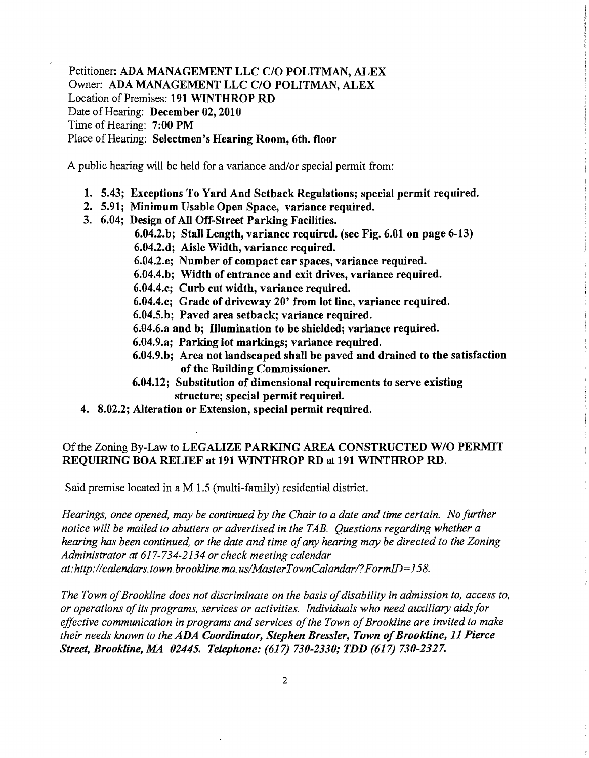Petitioner: ADA MANAGEMENT LLC C/O POLITMAN, ALEX Owner: ADA MANAGEMENT LLC C/O POLITMAN; ALEX Location of Premises: 191 WINTHROP RD Date of Hearing: December 02, 2010 Time of Hearing: 7:00 PM Place of Hearing: Selectmen's Hearing Room, 6th. floor

A public hearing will be held for a variance and/or special permit from:

- 1. 5.43; Exceptions To Yard And Setback Regulations; special permit required.
- 2. 5.91; Minimum Usable Open Space, variance required.
- 3. 6.04; Design of All Off-Street Parking Facilities.
	- 6.04.2.b; Stall Length, variance required. (see Fig. 6.01 on page 6-13)
	- 6.04.2.d; Aisle Width, variance required.
		- 6.04.2.e; Number of compact car spaces, variance required.
		- 6.04.4.b; Width of entrance and exit drives, variance required.
	- 6.04.4.c; Curb cut width, variance required.
	- 6.04.4.e; Grade of driveway 20' from lot line, variance required.
	- 6.04.5.b; Paved area setback; variance required.
	- 6.04.6.a and b; Illumination to be shielded; variance required.
	- 6.04.9.a; Parking lot markings; variance required.
	- 6.04.9.b; Area not landscaped shall be paved and drained to the satisfaction of the Building Commissioner.

÷

- 6.04.12; Substitution of dimensional requirements to serve existing structure; special permit required.
- 4. 8.02.2; Alteration or Extension, special permit required.

#### Of the Zoning By-Law to LEGALIZE PARKING AREA CONSTRUCTED W/O PERMIT REQUIRING BOA RELIEF at 191 WINTHROP RD at 191 WINTHROP RD.

Said premise located in a M 1.5 (multi-family) residential district.

*Hearings, once opened, may be continued by the Chair to a date and time certain. No further notice will be mailed to abutters or advertised in the TAB. Questions regarding whether a hearing has been continued, or the date and time ofany hearing may be directed to the Zoning Administrator at* 617-734-2134 *or check meeting calendar at:http://calendars.town.brookline.ma.usIMasterTownCalandarl?FormID=158.* 

*The Town of Brookline does not discriminate on the basis of disability in admission to, access to, or operations ofits programs, services or activities. Individuals who need auxiliary aids for effective communication in programs and services of the Town of Brookline are invited to make their needs known to the ADA Coordinator, Stephen Bressler, Town of Brookline, 11 Pierce Street, Brookline, MA 02445. Telephone:* (617) *730-2330; TDD* (617) *730-2327.*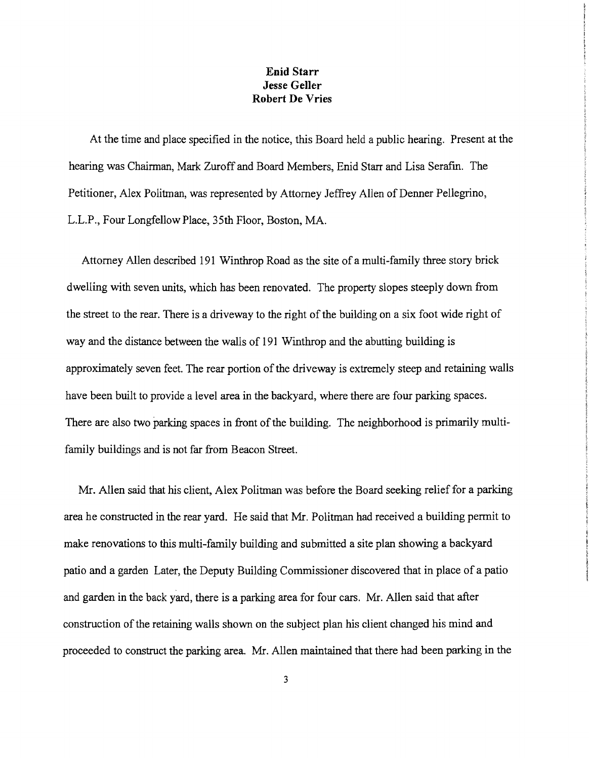### **Enid Starr Jesse Geller Robert De Vries**

At the time and place specified in the notice, this Board held a public hearing. Present at the hearing was Chairman, Mark Zuroff and Board Members, Enid Starr and Lisa Serafin. The Petitioner, Alex Politman, was represented by Attorney Jeffrey Allen of Denner Pellegrino, L.L.P., Four Longfellow Place, 35th Floor, Boston, MA.

Attorney Allen described 191 Winthrop Road as the site of a multi-family three story brick dwelling with seven units, which has been renovated. The property slopes steeply down from the street to the rear. There is a driveway to the right of the building on a six foot wide right of way and the distance between the walls of 191 Winthrop and the abutting building is approximately seven feet. The rear portion of the driveway is extremely steep and retaining walls have been built to provide a level area in the backyard, where there are four parking spaces. There are also two parking spaces in front of the building. The neighborhood is primarily multifamily buildings and is not far from Beacon Street.

Mr. Allen said that his client, Alex Politman was before the Board seeking relief for a parking area he constructed in the rear yard. He said that Mr. Politman had received a building permit to make renovations to this multi-family building and submitted a site plan showing a backyard patio and a garden Later, the Deputy Building Commissioner discovered that in place of a patio and garden in the back yard, there is a parking area for four cars. Mr. Allen said that after construction ofthe retaining walls shown on the subject plan his client changed his mind and proceeded to construct the parking area. Mr. Allen maintained that there had been parking in the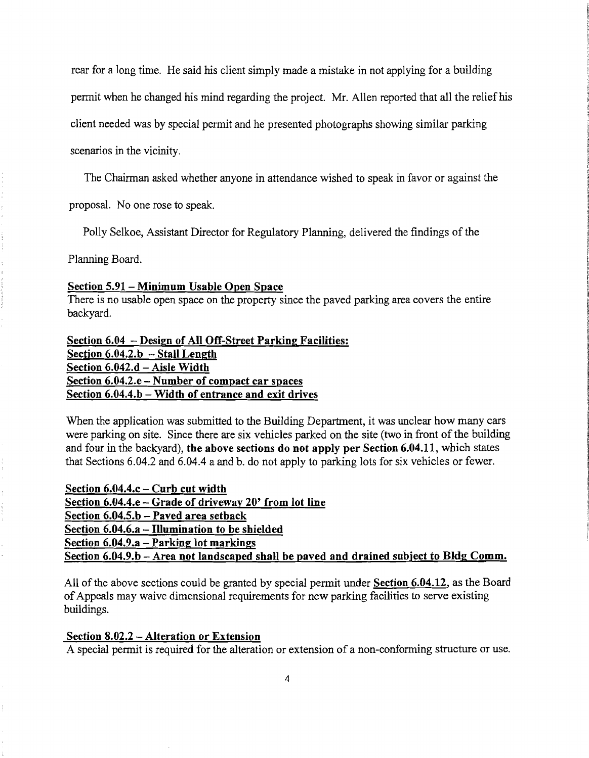rear for a long time. He said his client simply made a mistake in not applying for a building

pennit when he changed his mind regarding the project. Mr. Allen reported that all the relief his

client needed was by special pennit and he presented photographs showing similar parking

scenarios in the vicinity.

The Chairman asked whether anyone in attendance wished to speak in favor or against the

proposal. No one rose to speak.

Polly Selkoe, Assistant Director for Regulatory Planning, delivered the findings of the

Planning Board.

Section 5.91 - Minimum Usable Open Space

There is no usable open space on the property since the paved parking area covers the entire backyard.

Section 6.04 - Design of All Off-Street Parking Facilities: Section  $6.04.2.b - Stall Length$ Section 6.042.d - Aisle Width Section 6.04.2.e - Number of compact car spaces Section  $6.04.4.b - Width$  of entrance and exit drives

When the application was submitted to the Building Department, it was unclear how many cars were parking on site. Since there are six vehicles parked on the site (two in front of the building and four in the backyard), the above sections do not apply per Section 6.04.11, which states that Sections 6.04.2 and 6.04.4 a and b. do not apply to parking lots for six vehicles or fewer.

Section  $6.04.4.c -$  Curb cut width Section 6.04.4.e - Grade of driveway 20' from lot line Section  $6.04.5.b - P$ aved area setback Section  $6.04.6.a -$  Illumination to be shielded Section 6.04.9.a - Parking lot markings Section  $6.04.9$ .b – Area not landscaped shall be paved and drained subject to Bldg Comm.

All of the above sections could be granted by special permit under Section 6.04.12, as the Board ofAppeals may waive dimensional requirements for new parking facilities to serve existing buildings.

#### Section 8.02.2 - Alteration or Extension

A special permit is required for the alteration or extension of a non-conforming structure or use.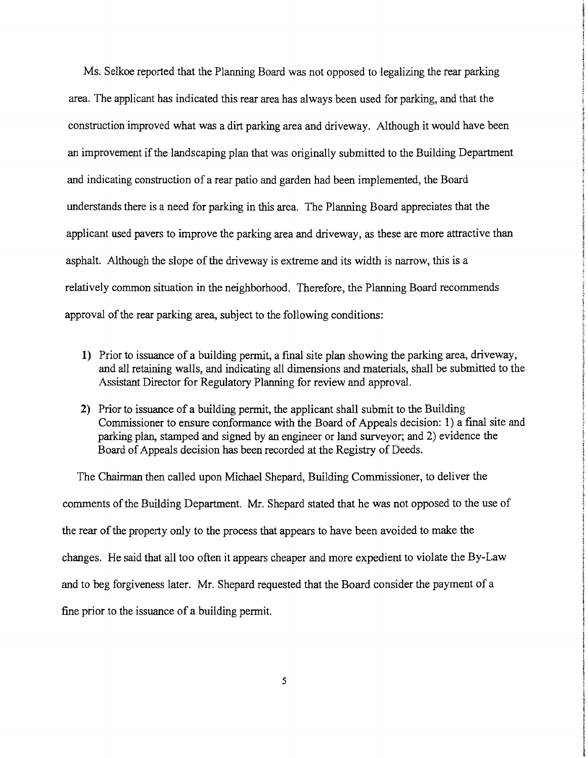Ms. Selkoe reported that the Planning Board was not opposed to legalizing the rear parking area. The applicant has indicated this rear area has always been used for parking, and that the construction improved what was a dirt parking area and driveway. Although it would have been an improvement if the landscaping plan that was originally submitted to the Building Department and indicating construction of a rear patio and garden had been implemented, the Board understands there is a need for parking in this area. The Planning Board appreciates that the applicant used pavers to improve the parking area and driveway, as these are more attractive than asphalt. Although the slope of the driveway is extreme and its width is narrow, this is a relatively common situation in the neighborhood. Therefore, the Planning Board recommends approval of the rear parking area, subject to the following conditions:

- 1) Prior to issuance of a building permit, a final site plan showing the parking area, driveway, and all retaining walls, and indicating all dimensions and materials, shall be submitted to the Assistant Director for Regulatory Planning for review and approval.
- **2)** Prior to issuance of a building permit, the applicant shall submit to the Building Commissioner to ensure conformance with the Board of Appeals decision: 1) a final site and parking plan, stamped and signed by an engineer or land surveyor; and 2) evidence the Board of Appeals decision has been recorded at the Registry of Deeds.

The Chairman then called upon Michael Shepard, Building Commissioner, to deliver the comments of the Building Department. Mr. Shepard stated that he was not opposed to the use of the rear of the property only to the process that appears to have been avoided to make the changes. He said that all too often it appears cheaper and more expedient to violate the By-Law and to beg forgiveness later. Mr. Shepard requested that the Board consider the payment of a fine prior to the issuance of a building permit.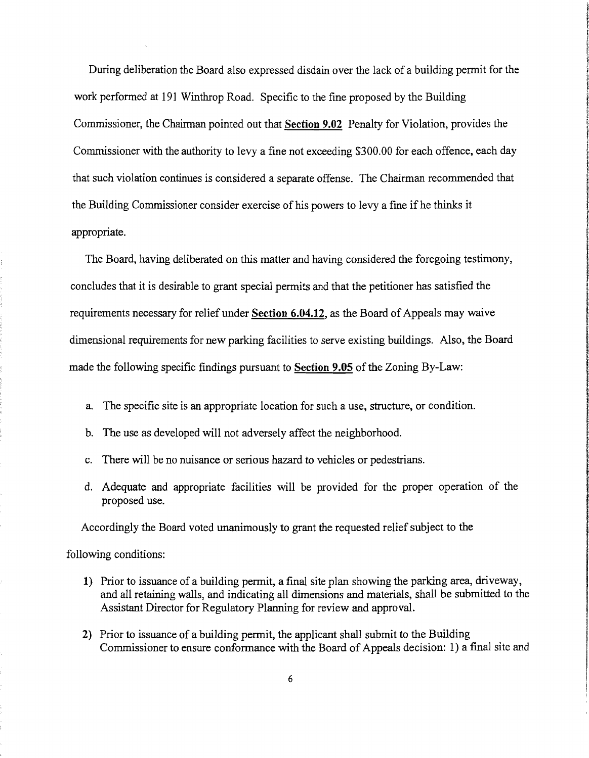During deliberation the Board also expressed disdain over the lack of a building permit for the work performed at 191 Winthrop Road. Specific to the fine proposed by the Building Commissioner, the Chairman pointed out that Section 9.02 Penalty for Violation, provides the Commissioner with the authority to levy a fine not exceeding \$300.00 for each offence, each day that such violation continues is considered a separate offense. The Chairman recommended that the Building Commissioner consider exercise of his powers to levy a fine if he thinks it appropriate.

The Board, having deliberated on this matter and having considered the foregoing testimony, concludes that it is desirable to grant special permits and that the petitioner has satisfied the requirements necessary for relief under Section 6.04.12, as the Board of Appeals may waive dimensional requirements for new parking facilities to serve existing buildings. Also, the Board made the following specific findings pursuant to Section 9.05 of the Zoning By-Law:

- a. The specific site is an appropriate location for such a use, structure, or condition.
- b. The use as developed will not adversely affect the neighborhood.
- c. There will be no nuisance or serious hazard to vehicles or pedestrians.
- d. Adequate and appropriate facilities will be provided for the proper operation of the proposed use.

Accordingly the Board voted unanimously to grant the requested relief subject to the

following conditions:

- 1) Prior to issuance of a building permit, a final site plan showing the parking area, driveway, and all retaining walls, and indicating all dimensions and materials, shall be submitted to the Assistant Director for Regulatory Planning for review and approval.
- 2) Prior to issuance of a building permit, the applicant shall submit to the Building Commissioner to ensure conformance with the Board of Appeals decision: 1) a final site and

6